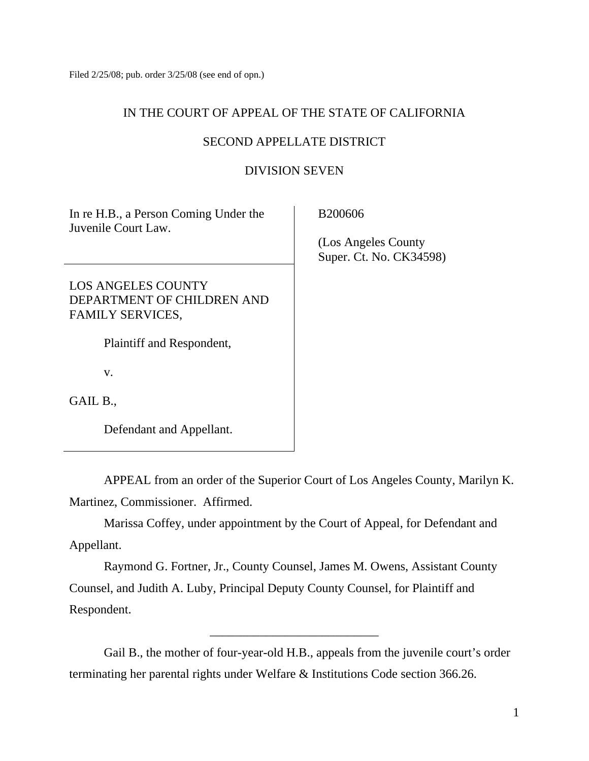### IN THE COURT OF APPEAL OF THE STATE OF CALIFORNIA

### SECOND APPELLATE DISTRICT

### DIVISION SEVEN

In re H.B., a Person Coming Under the Juvenile Court Law.

LOS ANGELES COUNTY DEPARTMENT OF CHILDREN AND FAMILY SERVICES,

Plaintiff and Respondent,

v.

GAIL B.,

Defendant and Appellant.

B200606

 (Los Angeles County Super. Ct. No. CK34598)

 APPEAL from an order of the Superior Court of Los Angeles County, Marilyn K. Martinez, Commissioner. Affirmed.

Marissa Coffey, under appointment by the Court of Appeal, for Defendant and Appellant.

 Raymond G. Fortner, Jr., County Counsel, James M. Owens, Assistant County Counsel, and Judith A. Luby, Principal Deputy County Counsel, for Plaintiff and Respondent.

Gail B., the mother of four-year-old H.B., appeals from the juvenile court's order terminating her parental rights under Welfare & Institutions Code section 366.26.

\_\_\_\_\_\_\_\_\_\_\_\_\_\_\_\_\_\_\_\_\_\_\_\_\_\_\_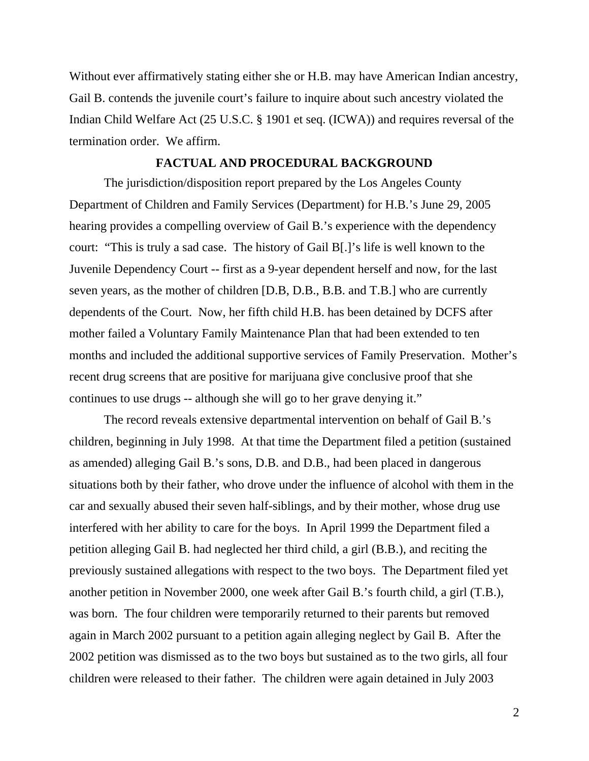Without ever affirmatively stating either she or H.B. may have American Indian ancestry, Gail B. contends the juvenile court's failure to inquire about such ancestry violated the Indian Child Welfare Act (25 U.S.C. § 1901 et seq. (ICWA)) and requires reversal of the termination order. We affirm.

#### **FACTUAL AND PROCEDURAL BACKGROUND**

The jurisdiction/disposition report prepared by the Los Angeles County Department of Children and Family Services (Department) for H.B.'s June 29, 2005 hearing provides a compelling overview of Gail B.'s experience with the dependency court: "This is truly a sad case. The history of Gail B[.]'s life is well known to the Juvenile Dependency Court -- first as a 9-year dependent herself and now, for the last seven years, as the mother of children [D.B, D.B., B.B. and T.B.] who are currently dependents of the Court. Now, her fifth child H.B. has been detained by DCFS after mother failed a Voluntary Family Maintenance Plan that had been extended to ten months and included the additional supportive services of Family Preservation. Mother's recent drug screens that are positive for marijuana give conclusive proof that she continues to use drugs -- although she will go to her grave denying it."

The record reveals extensive departmental intervention on behalf of Gail B.'s children, beginning in July 1998. At that time the Department filed a petition (sustained as amended) alleging Gail B.'s sons, D.B. and D.B., had been placed in dangerous situations both by their father, who drove under the influence of alcohol with them in the car and sexually abused their seven half-siblings, and by their mother, whose drug use interfered with her ability to care for the boys. In April 1999 the Department filed a petition alleging Gail B. had neglected her third child, a girl (B.B.), and reciting the previously sustained allegations with respect to the two boys. The Department filed yet another petition in November 2000, one week after Gail B.'s fourth child, a girl (T.B.), was born. The four children were temporarily returned to their parents but removed again in March 2002 pursuant to a petition again alleging neglect by Gail B. After the 2002 petition was dismissed as to the two boys but sustained as to the two girls, all four children were released to their father. The children were again detained in July 2003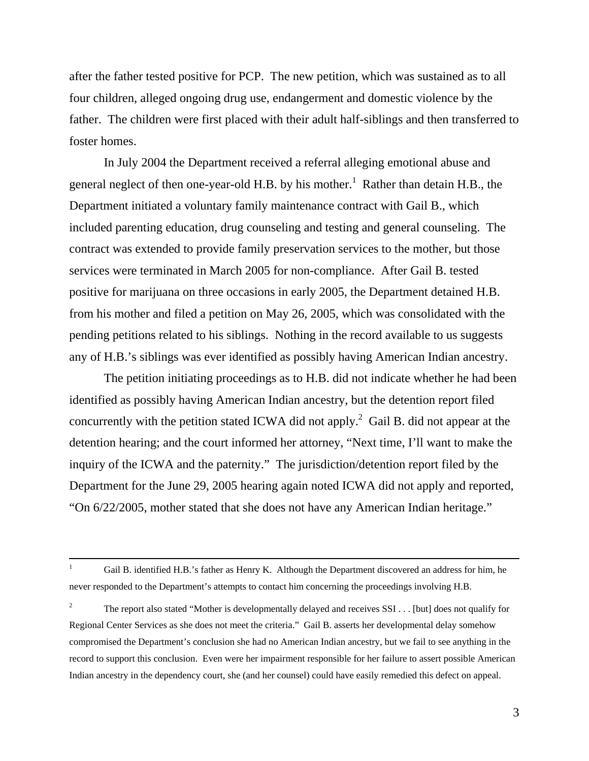after the father tested positive for PCP. The new petition, which was sustained as to all four children, alleged ongoing drug use, endangerment and domestic violence by the father. The children were first placed with their adult half-siblings and then transferred to foster homes.

In July 2004 the Department received a referral alleging emotional abuse and general neglect of then one-year-old H.B. by his mother.<sup>1</sup> Rather than detain H.B., the Department initiated a voluntary family maintenance contract with Gail B., which included parenting education, drug counseling and testing and general counseling. The contract was extended to provide family preservation services to the mother, but those services were terminated in March 2005 for non-compliance. After Gail B. tested positive for marijuana on three occasions in early 2005, the Department detained H.B. from his mother and filed a petition on May 26, 2005, which was consolidated with the pending petitions related to his siblings. Nothing in the record available to us suggests any of H.B.'s siblings was ever identified as possibly having American Indian ancestry.

The petition initiating proceedings as to H.B. did not indicate whether he had been identified as possibly having American Indian ancestry, but the detention report filed concurrently with the petition stated ICWA did not apply.<sup>2</sup> Gail B. did not appear at the detention hearing; and the court informed her attorney, "Next time, I'll want to make the inquiry of the ICWA and the paternity." The jurisdiction/detention report filed by the Department for the June 29, 2005 hearing again noted ICWA did not apply and reported, "On 6/22/2005, mother stated that she does not have any American Indian heritage."

 $\frac{1}{1}$  Gail B. identified H.B.'s father as Henry K. Although the Department discovered an address for him, he never responded to the Department's attempts to contact him concerning the proceedings involving H.B.

<sup>2</sup> The report also stated "Mother is developmentally delayed and receives SSI . . . [but] does not qualify for Regional Center Services as she does not meet the criteria." Gail B. asserts her developmental delay somehow compromised the Department's conclusion she had no American Indian ancestry, but we fail to see anything in the record to support this conclusion. Even were her impairment responsible for her failure to assert possible American Indian ancestry in the dependency court, she (and her counsel) could have easily remedied this defect on appeal.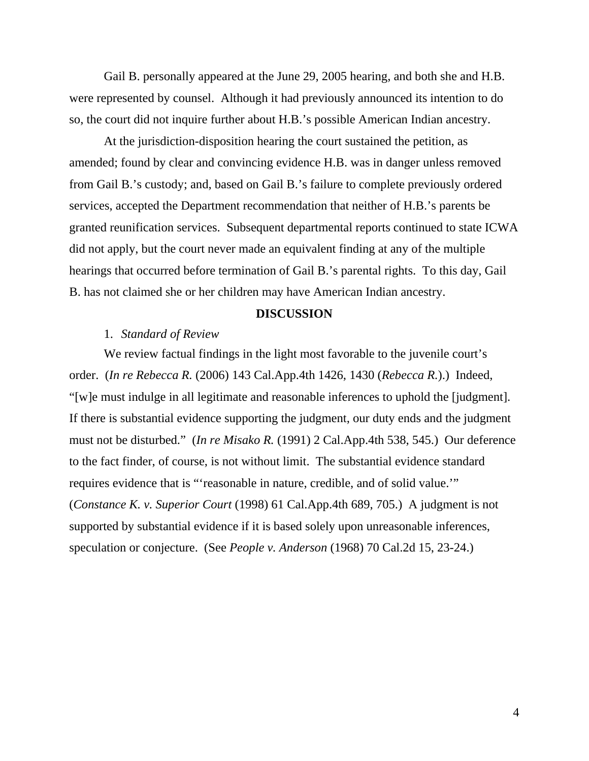Gail B. personally appeared at the June 29, 2005 hearing, and both she and H.B. were represented by counsel. Although it had previously announced its intention to do so, the court did not inquire further about H.B.'s possible American Indian ancestry.

At the jurisdiction-disposition hearing the court sustained the petition, as amended; found by clear and convincing evidence H.B. was in danger unless removed from Gail B.'s custody; and, based on Gail B.'s failure to complete previously ordered services, accepted the Department recommendation that neither of H.B.'s parents be granted reunification services. Subsequent departmental reports continued to state ICWA did not apply, but the court never made an equivalent finding at any of the multiple hearings that occurred before termination of Gail B.'s parental rights. To this day, Gail B. has not claimed she or her children may have American Indian ancestry.

#### **DISCUSSION**

# 1. *Standard of Review*

We review factual findings in the light most favorable to the juvenile court's order. (*In re Rebecca R.* (2006) 143 Cal.App.4th 1426, 1430 (*Rebecca R.*).) Indeed, "[w]e must indulge in all legitimate and reasonable inferences to uphold the [judgment]. If there is substantial evidence supporting the judgment, our duty ends and the judgment must not be disturbed." (*In re Misako R.* (1991) 2 Cal.App.4th 538, 545.) Our deference to the fact finder, of course, is not without limit. The substantial evidence standard requires evidence that is "'reasonable in nature, credible, and of solid value.'" (*Constance K. v. Superior Court* (1998) 61 Cal.App.4th 689, 705.) A judgment is not supported by substantial evidence if it is based solely upon unreasonable inferences, speculation or conjecture. (See *People v. Anderson* (1968) 70 Cal.2d 15, 23-24.)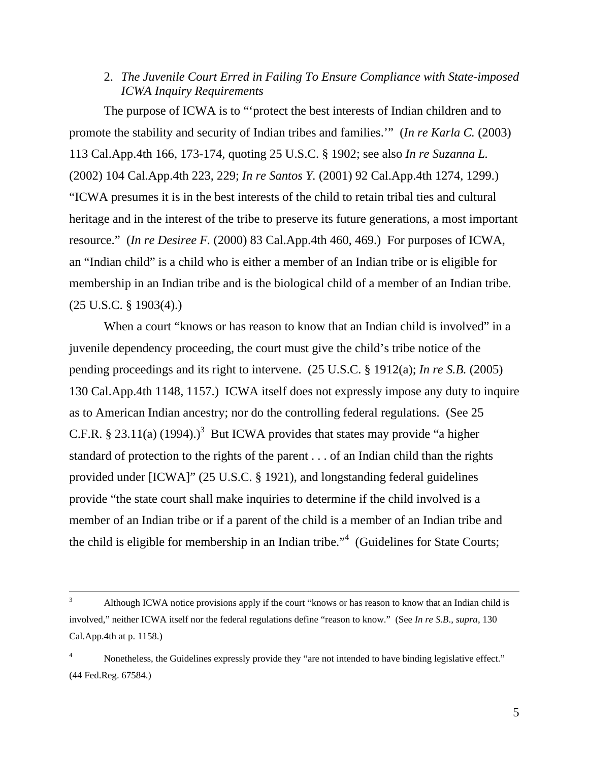### 2. *The Juvenile Court Erred in Failing To Ensure Compliance with State-imposed ICWA Inquiry Requirements*

The purpose of ICWA is to "'protect the best interests of Indian children and to promote the stability and security of Indian tribes and families.'" (*In re Karla C.* (2003) 113 Cal.App.4th 166, 173-174, quoting 25 U.S.C. § 1902; see also *In re Suzanna L.* (2002) 104 Cal.App.4th 223, 229; *In re Santos Y.* (2001) 92 Cal.App.4th 1274, 1299.) "ICWA presumes it is in the best interests of the child to retain tribal ties and cultural heritage and in the interest of the tribe to preserve its future generations, a most important resource." (*In re Desiree F.* (2000) 83 Cal.App.4th 460, 469.) For purposes of ICWA, an "Indian child" is a child who is either a member of an Indian tribe or is eligible for membership in an Indian tribe and is the biological child of a member of an Indian tribe. (25 U.S.C. § 1903(4).)

When a court "knows or has reason to know that an Indian child is involved" in a juvenile dependency proceeding, the court must give the child's tribe notice of the pending proceedings and its right to intervene. (25 U.S.C. § 1912(a); *In re S.B.* (2005) 130 Cal.App.4th 1148, 1157.) ICWA itself does not expressly impose any duty to inquire as to American Indian ancestry; nor do the controlling federal regulations. (See 25 C.F.R. § 23.11(a) (1994).)<sup>3</sup> But ICWA provides that states may provide "a higher standard of protection to the rights of the parent . . . of an Indian child than the rights provided under [ICWA]" (25 U.S.C. § 1921), and longstanding federal guidelines provide "the state court shall make inquiries to determine if the child involved is a member of an Indian tribe or if a parent of the child is a member of an Indian tribe and the child is eligible for membership in an Indian tribe."<sup>4</sup> (Guidelines for State Courts;

 $\frac{1}{3}$  Although ICWA notice provisions apply if the court "knows or has reason to know that an Indian child is involved," neither ICWA itself nor the federal regulations define "reason to know." (See *In re S.B*., *supra*, 130 Cal.App.4th at p. 1158.)

<sup>4</sup> Nonetheless, the Guidelines expressly provide they "are not intended to have binding legislative effect." (44 Fed.Reg. 67584.)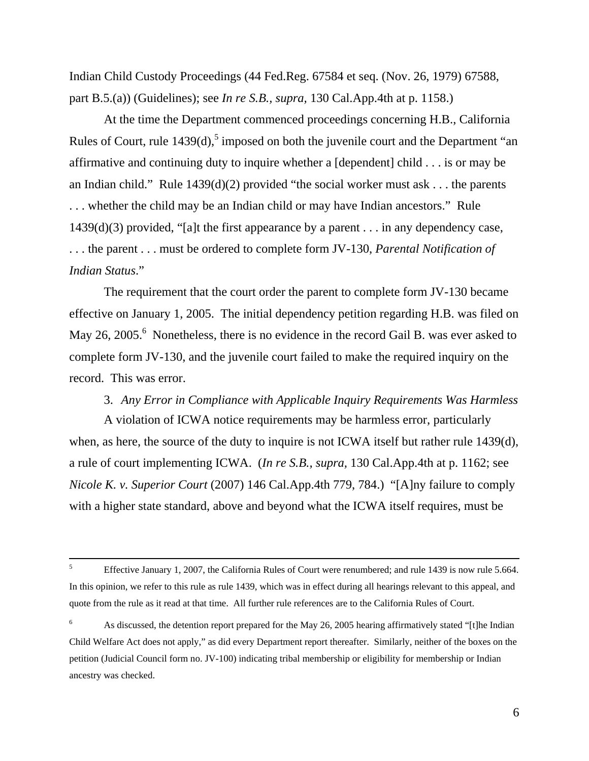Indian Child Custody Proceedings (44 Fed.Reg. 67584 et seq. (Nov. 26, 1979) 67588, part B.5.(a)) (Guidelines); see *In re S.B., supra,* 130 Cal.App.4th at p. 1158.)

At the time the Department commenced proceedings concerning H.B., California Rules of Court, rule  $1439(d)$ ,<sup>5</sup> imposed on both the juvenile court and the Department "an affirmative and continuing duty to inquire whether a [dependent] child . . . is or may be an Indian child." Rule 1439(d)(2) provided "the social worker must ask . . . the parents . . . whether the child may be an Indian child or may have Indian ancestors." Rule 1439(d)(3) provided, "[a]t the first appearance by a parent . . . in any dependency case, . . . the parent . . . must be ordered to complete form JV-130, *Parental Notification of Indian Status*."

The requirement that the court order the parent to complete form JV-130 became effective on January 1, 2005. The initial dependency petition regarding H.B. was filed on May 26, 2005. $\mathrm{6}$  Nonetheless, there is no evidence in the record Gail B. was ever asked to complete form JV-130, and the juvenile court failed to make the required inquiry on the record. This was error.

#### 3. *Any Error in Compliance with Applicable Inquiry Requirements Was Harmless*

A violation of ICWA notice requirements may be harmless error, particularly when, as here, the source of the duty to inquire is not ICWA itself but rather rule 1439(d), a rule of court implementing ICWA. (*In re S.B., supra,* 130 Cal.App.4th at p. 1162; see *Nicole K. v. Superior Court* (2007) 146 Cal.App.4th 779, 784.) "[A]ny failure to comply with a higher state standard, above and beyond what the ICWA itself requires, must be

 $\frac{1}{5}$ <sup>5</sup> Effective January 1, 2007, the California Rules of Court were renumbered; and rule 1439 is now rule 5.664. In this opinion, we refer to this rule as rule 1439, which was in effect during all hearings relevant to this appeal, and quote from the rule as it read at that time. All further rule references are to the California Rules of Court.

<sup>6</sup> As discussed, the detention report prepared for the May 26, 2005 hearing affirmatively stated "[t]he Indian Child Welfare Act does not apply," as did every Department report thereafter. Similarly, neither of the boxes on the petition (Judicial Council form no. JV-100) indicating tribal membership or eligibility for membership or Indian ancestry was checked.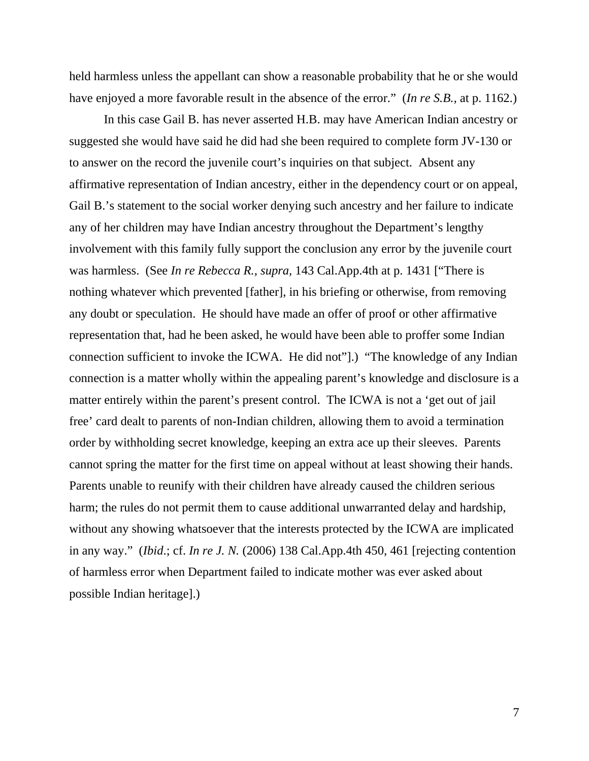held harmless unless the appellant can show a reasonable probability that he or she would have enjoyed a more favorable result in the absence of the error." (*In re S.B.,* at p. 1162.)

In this case Gail B. has never asserted H.B. may have American Indian ancestry or suggested she would have said he did had she been required to complete form JV-130 or to answer on the record the juvenile court's inquiries on that subject. Absent any affirmative representation of Indian ancestry, either in the dependency court or on appeal, Gail B.'s statement to the social worker denying such ancestry and her failure to indicate any of her children may have Indian ancestry throughout the Department's lengthy involvement with this family fully support the conclusion any error by the juvenile court was harmless. (See *In re Rebecca R., supra,* 143 Cal.App.4th at p. 1431 ["There is nothing whatever which prevented [father], in his briefing or otherwise, from removing any doubt or speculation. He should have made an offer of proof or other affirmative representation that, had he been asked, he would have been able to proffer some Indian connection sufficient to invoke the ICWA. He did not"].) "The knowledge of any Indian connection is a matter wholly within the appealing parent's knowledge and disclosure is a matter entirely within the parent's present control. The ICWA is not a 'get out of jail free' card dealt to parents of non-Indian children, allowing them to avoid a termination order by withholding secret knowledge, keeping an extra ace up their sleeves. Parents cannot spring the matter for the first time on appeal without at least showing their hands. Parents unable to reunify with their children have already caused the children serious harm; the rules do not permit them to cause additional unwarranted delay and hardship, without any showing whatsoever that the interests protected by the ICWA are implicated in any way." (*Ibid*.; cf. *In re J. N.* (2006) 138 Cal.App.4th 450, 461 [rejecting contention of harmless error when Department failed to indicate mother was ever asked about possible Indian heritage].)

7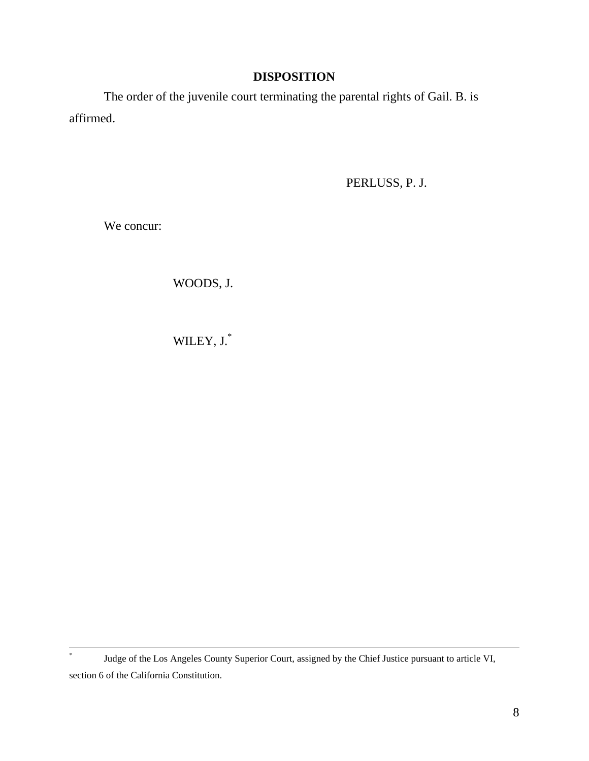# **DISPOSITION**

The order of the juvenile court terminating the parental rights of Gail. B. is affirmed.

PERLUSS, P. J.

We concur:

WOODS, J.

WILEY, J.\*

 \* Judge of the Los Angeles County Superior Court, assigned by the Chief Justice pursuant to article VI, section 6 of the California Constitution.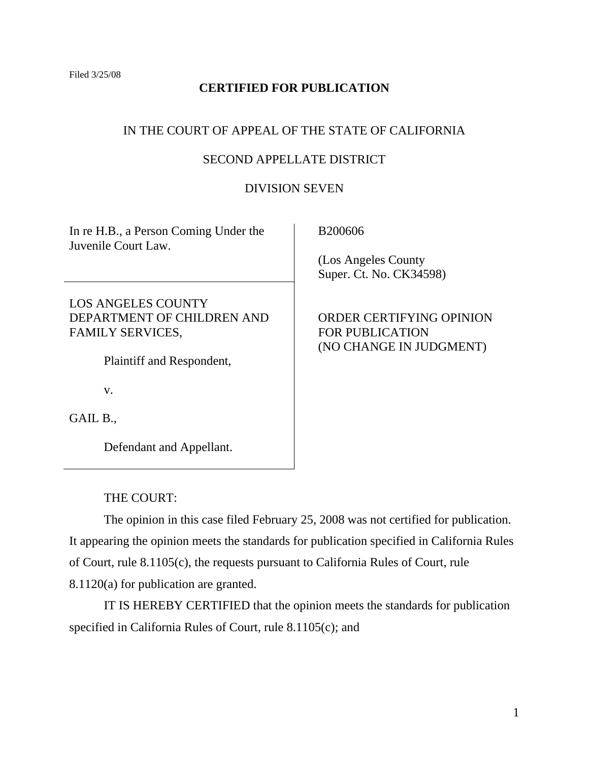Filed 3/25/08

# **CERTIFIED FOR PUBLICATION**

# IN THE COURT OF APPEAL OF THE STATE OF CALIFORNIA

## SECOND APPELLATE DISTRICT

### DIVISION SEVEN

In re H.B., a Person Coming Under the Juvenile Court Law.

LOS ANGELES COUNTY DEPARTMENT OF CHILDREN AND FAMILY SERVICES,

Plaintiff and Respondent,

v.

GAIL B.,

Defendant and Appellant.

B200606

 (Los Angeles County Super. Ct. No. CK34598)

 ORDER CERTIFYING OPINION FOR PUBLICATION (NO CHANGE IN JUDGMENT)

THE COURT:

 The opinion in this case filed February 25, 2008 was not certified for publication. It appearing the opinion meets the standards for publication specified in California Rules of Court, rule 8.1105(c), the requests pursuant to California Rules of Court, rule 8.1120(a) for publication are granted.

 IT IS HEREBY CERTIFIED that the opinion meets the standards for publication specified in California Rules of Court, rule 8.1105(c); and